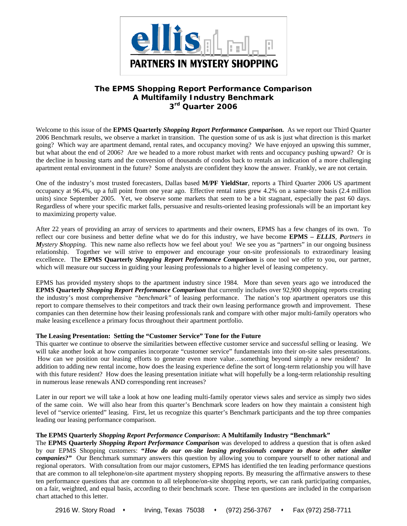

# **The EPMS** *Shopping Report Performance Comparison*  **A Multifamily Industry Benchmark 3rd Quarter 2006**

Welcome to this issue of the **EPMS Quarterly** *Shopping Report Performance Comparison.* As we report our Third Quarter 2006 Benchmark results, we observe a market in transition. The question some of us ask is just what direction is this market going? Which way are apartment demand, rental rates, and occupancy moving? We have enjoyed an upswing this summer, but what about the end of 2006? Are we headed to a more robust market with rents and occupancy pushing upward? Or is the decline in housing starts and the conversion of thousands of condos back to rentals an indication of a more challenging apartment rental environment in the future? Some analysts are confident they know the answer. Frankly, we are not certain.

One of the industry's most trusted forecasters, Dallas based **M/PF YieldStar**, reports a Third Quarter 2006 US apartment occupancy at 96.4%, up a full point from one year ago. Effective rental rates grew 4.2% on a same-store basis (2.4 million units) since September 2005. Yet, we observe some markets that seem to be a bit stagnant, especially the past 60 days. Regardless of where your specific market falls, persuasive and results-oriented leasing professionals will be an important key to maximizing property value.

After 22 years of providing an array of services to apartments and their owners, EPMS has a few changes of its own. To reflect our core business and better define what we do for this industry, we have become **EPMS** *– ELLIS, Partners in Mystery Shopping.* This new name also reflects how we feel about you! We see you as "partners" in our ongoing business relationship. Together we will strive to empower and encourage your on-site professionals to extraordinary leasing excellence. The **EPMS Quarterly** *Shopping Report Performance Comparison* is one tool we offer to you, our partner, which will measure our success in guiding your leasing professionals to a higher level of leasing competency.

EPMS has provided mystery shops to the apartment industry since 1984. More than seven years ago we introduced the **EPMS Quarterly** *Shopping Report Performance Comparison* that currently includes over 92,900 shopping reports creating the industry's most comprehensive *"benchmark"* of leasing performance. The nation's top apartment operators use this report to compare themselves to their competitors and track their own leasing performance growth and improvement. These companies can then determine how their leasing professionals rank and compare with other major multi-family operators who make leasing excellence a primary focus throughout their apartment portfolio.

### **The Leasing Presentation: Setting the "Customer Service" Tone for the Future**

This quarter we continue to observe the similarities between effective customer service and successful selling or leasing. We will take another look at how companies incorporate "customer service" fundamentals into their on-site sales presentations. How can we position our leasing efforts to generate even more value…something beyond simply a new resident? In addition to adding new rental income, how does the leasing experience define the sort of long-term relationship you will have with this future resident? How does the leasing presentation initiate what will hopefully be a long-term relationship resulting in numerous lease renewals AND corresponding rent increases?

Later in our report we will take a look at how one leading multi-family operator views sales and service as simply two sides of the same coin. We will also hear from this quarter's Benchmark score leaders on how they maintain a consistent high level of "service oriented" leasing. First, let us recognize this quarter's Benchmark participants and the top three companies leading our leasing performance comparison.

# **The EPMS Quarterly** *Shopping Report Performance Comparison***: A Multifamily Industry "Benchmark"**

The **EPMS Quarterly** *Shopping Report Performance Comparison* was developed to address a question that is often asked by our EPMS Shopping customers: **"***How do our on-site leasing professionals compare to those in other similar companies?"*Our Benchmark summary answers this question by allowing you to compare yourself to other national and regional operators. With consultation from our major customers, EPMS has identified the ten leading performance questions that are common to all telephone/on-site apartment mystery shopping reports. By measuring the affirmative answers to these ten performance questions that are common to all telephone/on-site shopping reports, we can rank participating companies, on a fair, weighted, and equal basis, according to their benchmark score. These ten questions are included in the comparison chart attached to this letter.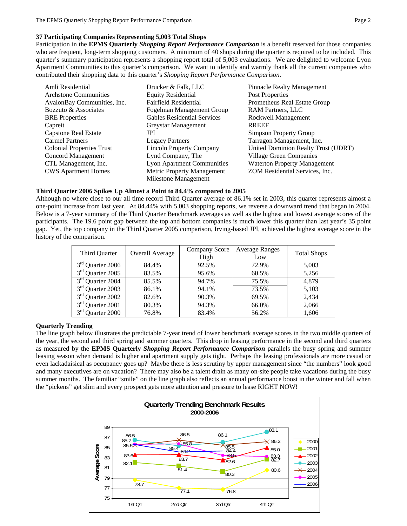# **37 Participating Companies Representing 5,003 Total Shops**

Participation in the **EPMS Quarterly** *Shopping Report Performance Comparison* is a benefit reserved for those companies who are frequent, long-term shopping customers. A minimum of 40 shops during the quarter is required to be included. This quarter's summary participation represents a shopping report total of 5,003 evaluations. We are delighted to welcome Lyon Apartment Communities to this quarter's comparison.We want to identify and warmly thank all the current companies who contributed their shopping data to this quarter's *Shopping Report Performance Comparison*.

| Amli Residential             | Drucker & Falk, LLC               | <b>Pinnacle Realty Management</b>   |  |  |
|------------------------------|-----------------------------------|-------------------------------------|--|--|
| <b>Archstone Communities</b> | <b>Equity Residential</b>         | Post Properties                     |  |  |
| AvalonBay Communities, Inc.  | <b>Fairfield Residential</b>      | Prometheus Real Estate Group        |  |  |
| Bozzuto & Associates         | Fogelman Management Group         | RAM Partners, LLC                   |  |  |
| <b>BRE</b> Properties        | Gables Residential Services       | Rockwell Management                 |  |  |
| Capreit                      | Greystar Management               | <b>RREEF</b>                        |  |  |
| <b>Capstone Real Estate</b>  | JPI                               | Simpson Property Group              |  |  |
| <b>Carmel Partners</b>       | <b>Legacy Partners</b>            | Tarragon Management, Inc.           |  |  |
| Colonial Properties Trust    | <b>Lincoln Property Company</b>   | United Dominion Realty Trust (UDRT) |  |  |
| <b>Concord Management</b>    | Lynd Company, The                 | Village Green Companies             |  |  |
| CTL Management, Inc.         | <b>Lyon Apartment Communities</b> | <b>Waterton Property Management</b> |  |  |
| <b>CWS Apartment Homes</b>   | Metric Property Management        | ZOM Residential Services, Inc.      |  |  |
|                              | Milestone Management              |                                     |  |  |

#### **Third Quarter 2006 Spikes Up Almost a Point to 84.4% compared to 2005**

Although no where close to our all time record Third Quarter average of 86.1% set in 2003, this quarter represents almost a one-point increase from last year. At 84.44% with 5,003 shopping reports, we reverse a downward trend that began in 2004. Below is a 7-year summary of the Third Quarter Benchmark averages as well as the highest and lowest average scores of the participants. The 19.6 point gap between the top and bottom companies is much lower this quarter than last year's 35 point gap. Yet, the top company in the Third Quarter 2005 comparison, Irving-based JPI, achieved the highest average score in the history of the comparison.

| Third Quarter                   | Overall Average | Company Score – Average Ranges | <b>Total Shops</b> |       |
|---------------------------------|-----------------|--------------------------------|--------------------|-------|
|                                 |                 | High                           | Low                |       |
| $3rd$ Quarter 2006              | 84.4%           | 92.5%                          | 72.9%              | 5,003 |
| $3rd$ Quarter 2005              | 83.5%           | 95.6%                          | 60.5%              | 5,256 |
| 3 <sup>rd</sup> Quarter 2004    | 85.5%           | 94.7%                          | 75.5%              | 4.879 |
| $3rd$ Quarter 2003              | 86.1%           | 94.1%                          | 73.5%              | 5,103 |
| 3 <sup>rd</sup> Quarter 2002    | 82.6%           | 90.3%                          | 69.5%              | 2.434 |
| 3 <sup>rd</sup><br>Quarter 2001 | 80.3%           | 94.3%                          | 66.0%              | 2,066 |
| 3 <sup>rd</sup> Quarter 2000    | 76.8%           | 83.4%                          | 56.2%              | 1,606 |

#### **Quarterly Trending**

The line graph below illustrates the predictable 7-year trend of lower benchmark average scores in the two middle quarters of the year, the second and third spring and summer quarters. This drop in leasing performance in the second and third quarters as measured by the **EPMS Quarterly** *Shopping Report Performance Comparison* parallels the busy spring and summer leasing season when demand is higher and apartment supply gets tight. Perhaps the leasing professionals are more casual or even lackadaisical as occupancy goes up? Maybe there is less scrutiny by upper management since "the numbers" look good and many executives are on vacation? There may also be a talent drain as many on-site people take vacations during the busy summer months. The familiar "smile" on the line graph also reflects an annual performance boost in the winter and fall when the "pickens" get slim and every prospect gets more attention and pressure to lease RIGHT NOW!

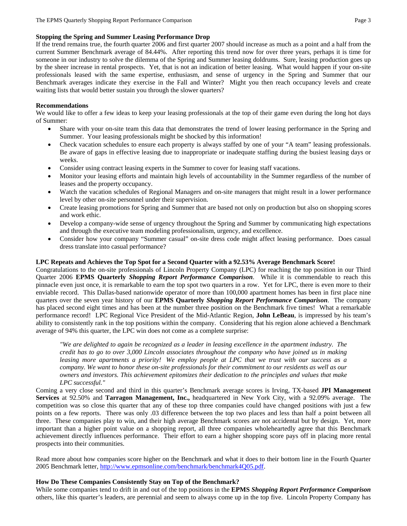### **Stopping the Spring and Summer Leasing Performance Drop**

If the trend remains true, the fourth quarter 2006 and first quarter 2007 should increase as much as a point and a half from the current Summer Benchmark average of 84.44%. After reporting this trend now for over three years, perhaps it is time for someone in our industry to solve the dilemma of the Spring and Summer leasing doldrums. Sure, leasing production goes up by the sheer increase in rental prospects. Yet, that is not an indication of better leasing. What would happen if your on-site professionals leased with the same expertise, enthusiasm, and sense of urgency in the Spring and Summer that our Benchmark averages indicate they exercise in the Fall and Winter? Might you then reach occupancy levels and create waiting lists that would better sustain you through the slower quarters?

### **Recommendations**

We would like to offer a few ideas to keep your leasing professionals at the top of their game even during the long hot days of Summer:

- Share with your on-site team this data that demonstrates the trend of lower leasing performance in the Spring and Summer. Your leasing professionals might be shocked by this information!
- Check vacation schedules to ensure each property is always staffed by one of your "A team" leasing professionals. Be aware of gaps in effective leasing due to inappropriate or inadequate staffing during the busiest leasing days or weeks.
- Consider using contract leasing experts in the Summer to cover for leasing staff vacations.
- Monitor your leasing efforts and maintain high levels of accountability in the Summer regardless of the number of leases and the property occupancy.
- Watch the vacation schedules of Regional Managers and on-site managers that might result in a lower performance level by other on-site personnel under their supervision.
- Create leasing promotions for Spring and Summer that are based not only on production but also on shopping scores and work ethic.
- Develop a company-wide sense of urgency throughout the Spring and Summer by communicating high expectations and through the executive team modeling professionalism, urgency, and excellence.
- Consider how your company "Summer casual" on-site dress code might affect leasing performance. Does casual dress translate into casual performance?

## **LPC Repeats and Achieves the Top Spot for a Second Quarter with a 92.53% Average Benchmark Score!**

Congratulations to the on-site professionals of Lincoln Property Company (LPC) for reaching the top position in our Third Quarter 2006 **EPMS Quarterly** *Shopping Report Performance Comparison*. While it is commendable to reach this pinnacle even just once, it is remarkable to earn the top spot two quarters in a row. Yet for LPC, there is even more to their enviable record. This Dallas-based nationwide operator of more than 100,000 apartment homes has been in first place nine quarters over the seven year history of our **EPMS Quarterly** *Shopping Report Performance Comparison*. The company has placed second eight times and has been at the number three position on the Benchmark five times! What a remarkable performance record! LPC Regional Vice President of the Mid-Atlantic Region, **John LeBeau**, is impressed by his team's ability to consistently rank in the top positions within the company. Considering that his region alone achieved a Benchmark average of 94% this quarter, the LPC win does not come as a complete surprise:

*"We are delighted to again be recognized as a leader in leasing excellence in the apartment industry. The credit has to go to over 3,000 Lincoln associates throughout the company who have joined us in making leasing more apartments a priority! We employ people at LPC that we trust with our success as a company. We want to honor these on-site professionals for their commitment to our residents as well as our owners and investors. This achievement epitomizes their dedication to the principles and values that make LPC successful."* 

Coming a very close second and third in this quarter's Benchmark average scores is Irving, TX-based **JPI Management Services** at 92.50% and **Tarragon Management, Inc.,** headquartered in New York City, with a 92.09% average. The competition was so close this quarter that any of these top three companies could have changed positions with just a few points on a few reports. There was only .03 difference between the top two places and less than half a point between all three. These companies play to win, and their high average Benchmark scores are not accidental but by design. Yet, more important than a higher point value on a shopping report, all three companies wholeheartedly agree that this Benchmark achievement directly influences performance. Their effort to earn a higher shopping score pays off in placing more rental prospects into their communities.

Read more about how companies score higher on the Benchmark and what it does to their bottom line in the Fourth Quarter 2005 Benchmark letter, http://www.epmsonline.com/benchmark/benchmark4Q05.pdf.

#### **How Do These Companies Consistently Stay on Top of the Benchmark?**

While some companies tend to drift in and out of the top positions in the **EPMS** *Shopping Report Performance Comparison*  others, like this quarter's leaders, are perennial and seem to always come up in the top five. Lincoln Property Company has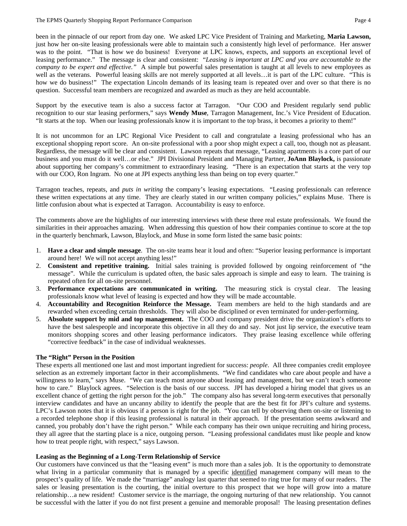been in the pinnacle of our report from day one. We asked LPC Vice President of Training and Marketing, **Maria Lawson,** just how her on-site leasing professionals were able to maintain such a consistently high level of performance. Her answer was to the point. "That is how we do business! Everyone at LPC knows, expects, and supports an exceptional level of leasing performance." The message is clear and consistent: "*Leasing is important at LPC and you are accountable to the company to be expert and effective."* A simple but powerful sales presentation is taught at all levels to new employees as well as the veterans. Powerful leasing skills are not merely supported at all levels...it is part of the LPC culture. "This is how we do business!" The expectation Lincoln demands of its leasing team is repeated over and over so that there is no question. Successful team members are recognized and awarded as much as they are held accountable.

Support by the executive team is also a success factor at Tarragon. "Our COO and President regularly send public recognition to our star leasing performers," says **Wendy Muse**, Tarragon Management, Inc.'s Vice President of Education. "It starts at the top. When our leasing professionals know it is important to the top brass, it becomes a priority to them!"

It is not uncommon for an LPC Regional Vice President to call and congratulate a leasing professional who has an exceptional shopping report score. An on-site professional with a poor shop might expect a call, too, though not as pleasant. Regardless, the message will be clear and consistent. Lawson repeats that message, "Leasing apartments is a core part of our business and you must do it well…or else." JPI Divisional President and Managing Partner, **JoAnn Blaylock,** is passionate about supporting her company's commitment to extraordinary leasing. "There is an expectation that starts at the very top with our COO, Ron Ingram. No one at JPI expects anything less than being on top every quarter."

Tarragon teaches, repeats, and *puts in writing* the company's leasing expectations. "Leasing professionals can reference these written expectations at any time. They are clearly stated in our written company policies," explains Muse. There is little confusion about what is expected at Tarragon. Accountability is easy to enforce.

The comments above are the highlights of our interesting interviews with these three real estate professionals. We found the similarities in their approaches amazing. When addressing this question of how their companies continue to score at the top in the quarterly benchmark, Lawson, Blaylock, and Muse in some form listed the same basic points:

- 1. **Have a clear and simple message**. The on-site teams hear it loud and often: "Superior leasing performance is important around here! We will not accept anything less!"
- 2. **Consistent and repetitive training.** Initial sales training is provided followed by ongoing reinforcement of "the message". While the curriculum is updated often, the basic sales approach is simple and easy to learn. The training is repeated often for all on-site personnel.
- 3. **Performance expectations are communicated in writing.** The measuring stick is crystal clear. The leasing professionals know what level of leasing is expected and how they will be made accountable.
- 4. **Accountability and Recognition Reinforce the Message.** Team members are held to the high standards and are rewarded when exceeding certain thresholds. They will also be disciplined or even terminated for under-performing.
- 5. **Absolute support by mid and top management.** The COO and company president drive the organization's efforts to have the best salespeople and incorporate this objective in all they do and say. Not just lip service, the executive team monitors shopping scores and other leasing performance indicators. They praise leasing excellence while offering "corrective feedback" in the case of individual weaknesses.

# **The "Right" Person in the Position**

These experts all mentioned one last and most important ingredient for success: *people*. All three companies credit employee selection as an extremely important factor in their accomplishments. "We find candidates who care about people and have a willingness to learn," says Muse. "We can teach most anyone about leasing and management, but we can't teach someone how to care." Blaylock agrees. "Selection is the basis of our success. JPI has developed a hiring model that gives us an excellent chance of getting the right person for the job." The company also has several long-term executives that personally interview candidates and have an uncanny ability to identify the people that are the best fit for JPI's culture and systems. LPC's Lawson notes that it is obvious if a person is right for the job. "You can tell by observing them on-site or listening to a recorded telephone shop if this leasing professional is natural in their approach. If the presentation seems awkward and canned, you probably don't have the right person." While each company has their own unique recruiting and hiring process, they all agree that the starting place is a nice, outgoing person. "Leasing professional candidates must like people and know how to treat people right, with respect," says Lawson.

# **Leasing as the Beginning of a Long-Term Relationship of Service**

Our customers have convinced us that the "leasing event" is much more than a sales job. It is the opportunity to demonstrate what living in a particular community that is managed by a specific identified management company will mean to the prospect's quality of life. We made the "marriage" analogy last quarter that seemed to ring true for many of our readers. The sales or leasing presentation is the courting, the initial overture to this prospect that we hope will grow into a mature relationship…a new resident! Customer service is the marriage, the ongoing nurturing of that new relationship. You cannot be successful with the latter if you do not first present a genuine and memorable proposal! The leasing presentation defines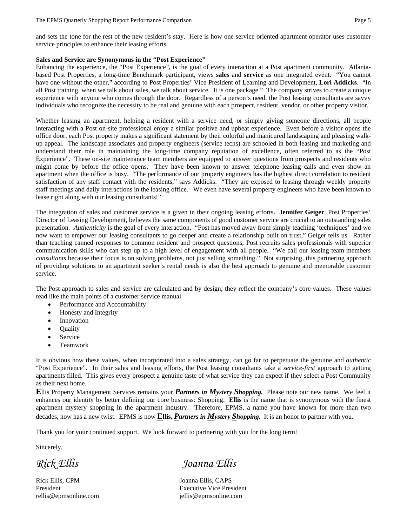and sets the tone for the rest of the new resident's stay. Here is how one service oriented apartment operator uses customer service principles to enhance their leasing efforts.

#### **Sales and Service are Synonymous in the "Post Experience"**

Enhancing the experience, the "Post Experience", is the goal of every interaction at a Post apartment community. Atlantabased Post Properties, a long-time Benchmark participant, views **sales** and **service** as one integrated event. "You cannot have one without the other," according to Post Properties' Vice President of Learning and Development, **Lori Addicks**. "In all Post training, when we talk about sales, we talk about service. It is one package." The company strives to create a unique experience with anyone who comes through the door. Regardless of a person's need, the Post leasing consultants are savvy individuals who recognize the necessity to be real and genuine with each prospect, resident, vendor, or other property visitor.

Whether leasing an apartment, helping a resident with a service need, or simply giving someone directions, all people interacting with a Post on-site professional enjoy a similar positive and upbeat experience. Even before a visitor opens the office door, each Post property makes a significant statement by their colorful and manicured landscaping and pleasing walkup appeal. The landscape associates and property engineers (service techs) are schooled in both leasing and marketing and understand their role in maintaining the long-time company reputation of excellence, often referred to as the "Post Experience". These on-site maintenance team members are equipped to answer questions from prospects and residents who might come by before the office opens. They have been known to answer telephone leasing calls and even show an apartment when the office is busy. "The performance of our property engineers has the highest direct correlation to resident satisfaction of any staff contact with the residents," says Addicks. "They are exposed to leasing through weekly property staff meetings and daily interactions in the leasing office. We even have several property engineers who have been known to lease right along with our leasing consultants!"

The integration of sales and customer service is a given in their ongoing leasing efforts**. Jennifer Geiger**, Post Properties' Director of Leasing Development, believes the same components of good customer service are crucial to an outstanding sales presentation. *Authenticity* is the goal of every interaction. "Post has moved away from simply teaching 'techniques' and we now want to empower our leasing consultants to go deeper and create a relationship built on trust," Geiger tells us. Rather than teaching canned responses to common resident and prospect questions, Post recruits sales professionals with superior communication skills who can step up to a high level of engagement with all people. "We call our leasing team members *consultants* because their focus is on solving problems, not just selling something." Not surprising, this partnering approach of providing solutions to an apartment seeker's rental needs is also the best approach to genuine and memorable customer service.

The Post approach to sales and service are calculated and by design; they reflect the company's core values. These values read like the main points of a customer service manual.

- Performance and Accountability
- Honesty and Integrity
- **Innovation**
- Quality
- **Service**
- Teamwork

It is obvious how these values, when incorporated into a sales strategy, can go far to perpetuate the genuine and *authentic* "Post Experience". In their sales and leasing efforts, the Post leasing consultants take a *service-first* approach to getting apartments filled. This gives every prospect a genuine taste of what service they can expect if they select a Post Community as their next home.

**E**llis Property Management Services remains your *Partners in Mystery Shopping.* Please note our new name. We feel it enhances our identity by better defining our core business: Shopping. **Ellis** is the name that is synonymous with the finest apartment mystery shopping in the apartment industry. Therefore, EPMS, a name you have known for more than two decades, now has a new twist. EPMS is now **Ellis,** *Partners in Mystery Shopping.* It is an honor to partner with you.

Thank you for your continued support. We look forward to partnering with you for the long term!

Sincerely,

Rick Ellis, CPM Joanna Ellis, CAPS

*Rick Ellis Joanna Ellis* 

President Executive Vice President rellis@epmsonline.com jellis@epmsonline.com